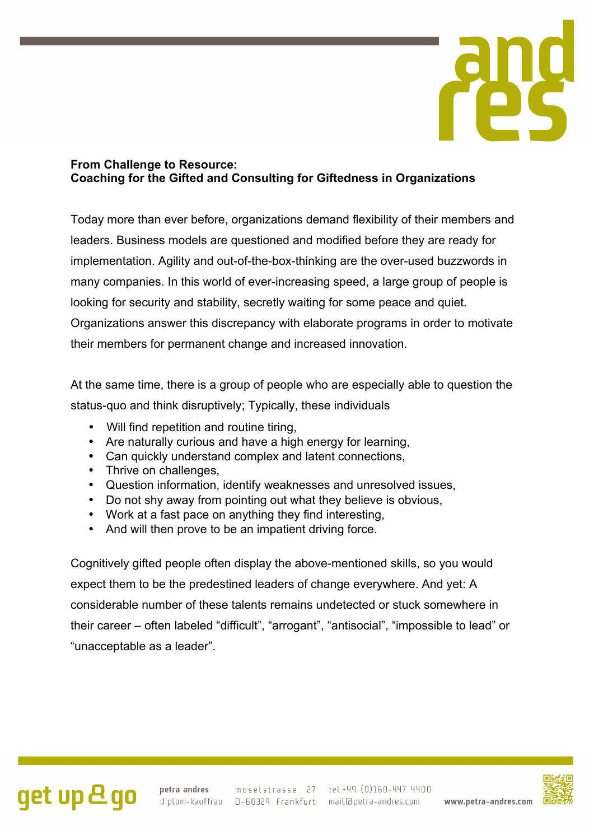

### **From Challenge to Resource: Coaching for the Gifted and Consulting for Giftedness in Organizations**

Today more than ever before, organizations demand flexibility of their members and leaders. Business models are questioned and modified before they are ready for implementation. Agility and out-of-the-box-thinking are the over-used buzzwords in many companies. In this world of ever-increasing speed, a large group of people is looking for security and stability, secretly waiting for some peace and quiet. Organizations answer this discrepancy with elaborate programs in order to motivate their members for permanent change and increased innovation.

At the same time, there is a group of people who are especially able to question the status-quo and think disruptively; Typically, these individuals

- Will find repetition and routine tiring,
- Are naturally curious and have a high energy for learning,
- Can quickly understand complex and latent connections,
- Thrive on challenges,
- Question information, identify weaknesses and unresolved issues,
- Do not shy away from pointing out what they believe is obvious,
- Work at a fast pace on anything they find interesting,
- And will then prove to be an impatient driving force.

Cognitively gifted people often display the above-mentioned skills, so you would expect them to be the predestined leaders of change everywhere. And yet: A considerable number of these talents remains undetected or stuck somewhere in their career – often labeled "difficult", "arrogant", "antisocial", "impossible to lead" or "unacceptable as a leader".



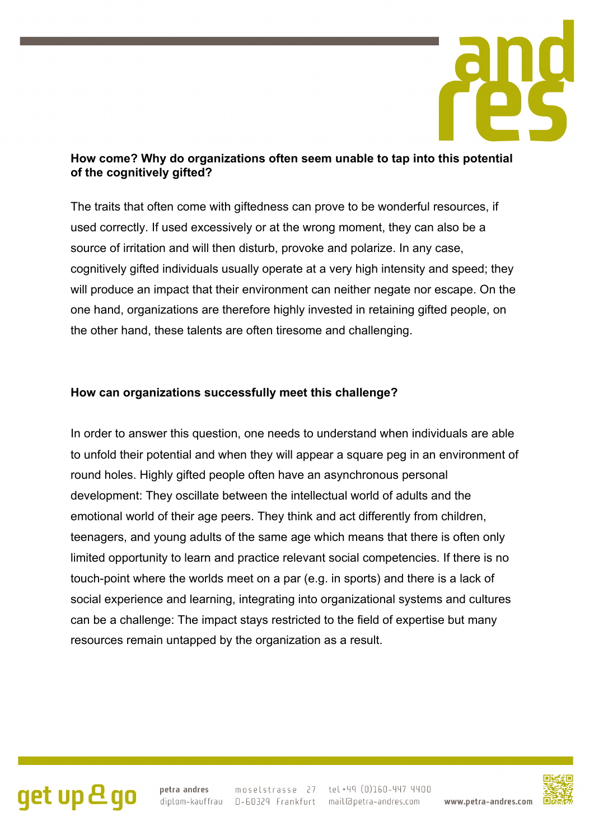

### **How come? Why do organizations often seem unable to tap into this potential of the cognitively gifted?**

The traits that often come with giftedness can prove to be wonderful resources, if used correctly. If used excessively or at the wrong moment, they can also be a source of irritation and will then disturb, provoke and polarize. In any case, cognitively gifted individuals usually operate at a very high intensity and speed; they will produce an impact that their environment can neither negate nor escape. On the one hand, organizations are therefore highly invested in retaining gifted people, on the other hand, these talents are often tiresome and challenging.

### **How can organizations successfully meet this challenge?**

In order to answer this question, one needs to understand when individuals are able to unfold their potential and when they will appear a square peg in an environment of round holes. Highly gifted people often have an asynchronous personal development: They oscillate between the intellectual world of adults and the emotional world of their age peers. They think and act differently from children, teenagers, and young adults of the same age which means that there is often only limited opportunity to learn and practice relevant social competencies. If there is no touch-point where the worlds meet on a par (e.g. in sports) and there is a lack of social experience and learning, integrating into organizational systems and cultures can be a challenge: The impact stays restricted to the field of expertise but many resources remain untapped by the organization as a result.

# get up & go

petra andres moselstrasse 27 tel +49 (0)160-447 4400 diplom-kauffrau D-60329 Frankfurt mail@petra-andres.com www.petra-andres.com

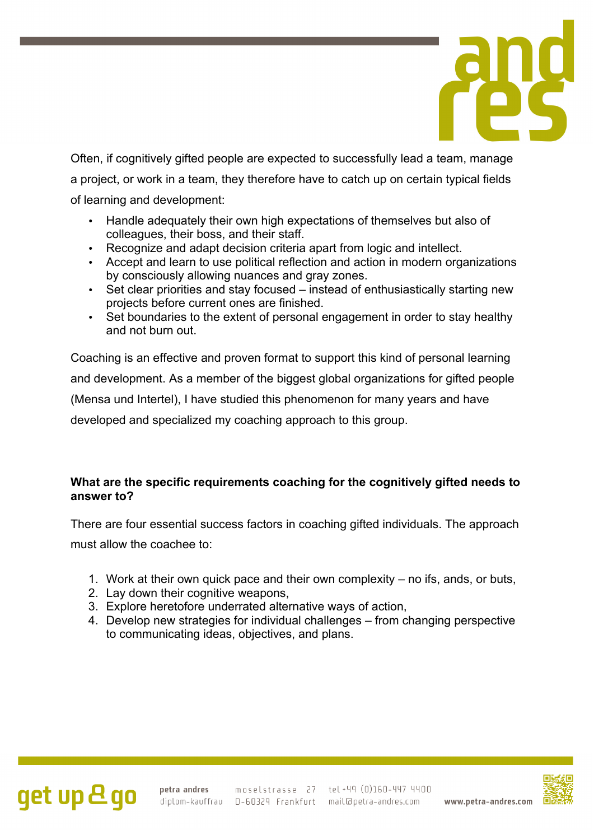

Often, if cognitively gifted people are expected to successfully lead a team, manage a project, or work in a team, they therefore have to catch up on certain typical fields of learning and development:

- Handle adequately their own high expectations of themselves but also of colleagues, their boss, and their staff.
- Recognize and adapt decision criteria apart from logic and intellect.
- Accept and learn to use political reflection and action in modern organizations by consciously allowing nuances and gray zones.
- Set clear priorities and stay focused instead of enthusiastically starting new projects before current ones are finished.
- Set boundaries to the extent of personal engagement in order to stay healthy and not burn out.

Coaching is an effective and proven format to support this kind of personal learning and development. As a member of the biggest global organizations for gifted people (Mensa und Intertel), I have studied this phenomenon for many years and have developed and specialized my coaching approach to this group.

## **What are the specific requirements coaching for the cognitively gifted needs to answer to?**

There are four essential success factors in coaching gifted individuals. The approach must allow the coachee to:

- 1. Work at their own quick pace and their own complexity no ifs, ands, or buts,
- 2. Lay down their cognitive weapons,
- 3. Explore heretofore underrated alternative ways of action,
- 4. Develop new strategies for individual challenges from changing perspective to communicating ideas, objectives, and plans.